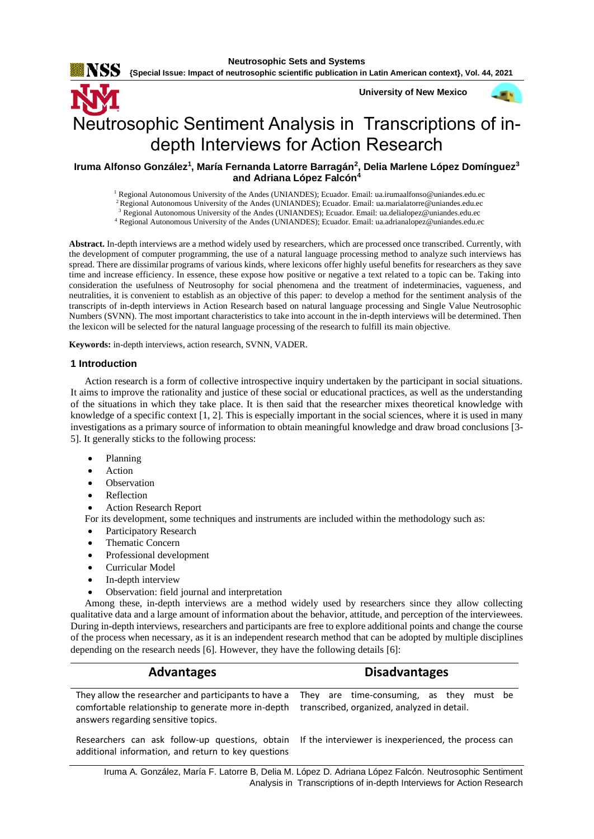NSS

**{Special Issue: Impact of neutrosophic scientific publication in Latin American context}, Vol. 44, 2021**

**University of New Mexico**



# Neutrosophic Sentiment Analysis in Transcriptions of indepth Interviews for Action Research

## **Iruma Alfonso González<sup>1</sup> , María Fernanda Latorre Barragán<sup>2</sup> , Delia Marlene López Domínguez<sup>3</sup> and Adriana López Falcón<sup>4</sup>**

<sup>1</sup> Regional Autonomous University of the Andes (UNIANDES); Ecuador. Email: [ua.irumaalfonso@uniandes.edu.ec](mailto:ua.irumaalfonso@uniandes.edu.ec)

<sup>2</sup>Regional Autonomous University of the Andes (UNIANDES); Ecuador. Email[: ua.marialatorre@uniandes.edu.ec](mailto:ua.marialatorre@uniandes.edu.ec)

<sup>3</sup> Regional Autonomous University of the Andes (UNIANDES); Ecuador. Email: [ua.delialopez@uniandes.edu.ec](mailto:ua.delialopez@uniandes.edu.ec)

<sup>4</sup> Regional Autonomous University of the Andes (UNIANDES); Ecuador. Email: [ua.adrianalopez@uniandes.edu.ec](mailto:ua.adrianalopez@uniandes.edu.ec)

**Abstract.** In-depth interviews are a method widely used by researchers, which are processed once transcribed. Currently, with the development of computer programming, the use of a natural language processing method to analyze such interviews has spread. There are dissimilar programs of various kinds, where lexicons offer highly useful benefits for researchers as they save time and increase efficiency. In essence, these expose how positive or negative a text related to a topic can be. Taking into consideration the usefulness of Neutrosophy for social phenomena and the treatment of indeterminacies, vagueness, and neutralities, it is convenient to establish as an objective of this paper: to develop a method for the sentiment analysis of the transcripts of in-depth interviews in Action Research based on natural language processing and Single Value Neutrosophic Numbers (SVNN). The most important characteristics to take into account in the in-depth interviews will be determined. Then the lexicon will be selected for the natural language processing of the research to fulfill its main objective.

**Keywords:** in-depth interviews, action research, SVNN, VADER.

#### **1 Introduction**

Action research is a form of collective introspective inquiry undertaken by the participant in social situations. It aims to improve the rationality and justice of these social or educational practices, as well as the understanding of the situations in which they take place. It is then said that the researcher mixes theoretical knowledge with knowledge of a specific context [\[1,](#page-6-0) [2\]](#page-6-1). This is especially important in the social sciences, where it is used in many investigations as a primary source of information to obtain meaningful knowledge and draw broad conclusions [\[3-](#page-6-2) [5\]](#page-6-2). It generally sticks to the following process:

- Planning
- **Action**
- **Observation**
- **Reflection**
- Action Research Report
- For its development, some techniques and instruments are included within the methodology such as:
- Participatory Research
- Thematic Concern
- Professional development
- Curricular Model
- In-depth interview
- Observation: field journal and interpretation

Among these, in-depth interviews are a method widely used by researchers since they allow collecting qualitative data and a large amount of information about the behavior, attitude, and perception of the interviewees. During in-depth interviews, researchers and participants are free to explore additional points and change the course of the process when necessary, as it is an independent research method that can be adopted by multiple disciplines depending on the research needs [\[6\]](#page-6-3). However, they have the following details [\[6\]](#page-6-3):

| Advantages                                                                                                                                                                                      | <b>Disadvantages</b> |  |  |  |  |  |
|-------------------------------------------------------------------------------------------------------------------------------------------------------------------------------------------------|----------------------|--|--|--|--|--|
| They allow the researcher and participants to have a They are time-consuming, as they must be<br>comfortable relationship to generate more in-depth transcribed, organized, analyzed in detail. |                      |  |  |  |  |  |
| answers regarding sensitive topics.                                                                                                                                                             |                      |  |  |  |  |  |

additional information, and return to key questions

Researchers can ask follow-up questions, obtain If the interviewer is inexperienced, the process can

Iruma A. González, María F. Latorre B, Delia M. López D. Adriana López Falcón. Neutrosophic Sentiment Analysis in Transcriptions of in-depth Interviews for Action Research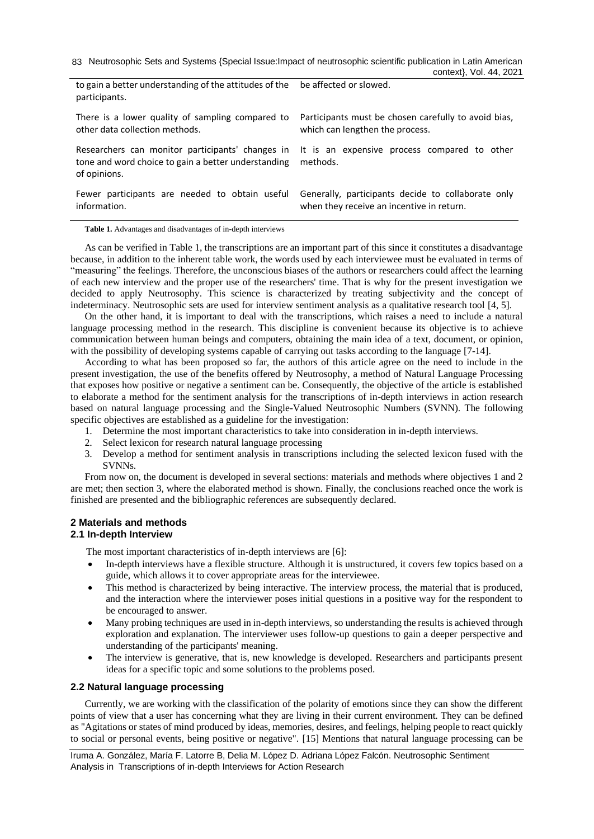| to gain a better understanding of the attitudes of the be affected or slowed.<br>participants.                                                                       |                                                      |
|----------------------------------------------------------------------------------------------------------------------------------------------------------------------|------------------------------------------------------|
| There is a lower quality of sampling compared to                                                                                                                     | Participants must be chosen carefully to avoid bias, |
| other data collection methods.                                                                                                                                       | which can lengthen the process.                      |
| Researchers can monitor participants' changes in It is an expensive process compared to other<br>tone and word choice to gain a better understanding<br>of opinions. | methods.                                             |
| Fewer participants are needed to obtain useful                                                                                                                       | Generally, participants decide to collaborate only   |
| information.                                                                                                                                                         | when they receive an incentive in return.            |

**Table 1.** Advantages and disadvantages of in-depth interviews

As can be verified in Table 1, the transcriptions are an important part of this since it constitutes a disadvantage because, in addition to the inherent table work, the words used by each interviewee must be evaluated in terms of "measuring" the feelings. Therefore, the unconscious biases of the authors or researchers could affect the learning of each new interview and the proper use of the researchers' time. That is why for the present investigation we decided to apply Neutrosophy. This science is characterized by treating subjectivity and the concept of indeterminacy. Neutrosophic sets are used for interview sentiment analysis as a qualitative research tool [\[4,](#page-6-4) [5\]](#page-6-5).

On the other hand, it is important to deal with the transcriptions, which raises a need to include a natural language processing method in the research. This discipline is convenient because its objective is to achieve communication between human beings and computers, obtaining the main idea of a text, document, or opinion, with the possibility of developing systems capable of carrying out tasks according to the language [\[7-14\]](#page-6-6).

According to what has been proposed so far, the authors of this article agree on the need to include in the present investigation, the use of the benefits offered by Neutrosophy, a method of Natural Language Processing that exposes how positive or negative a sentiment can be. Consequently, the objective of the article is established to elaborate a method for the sentiment analysis for the transcriptions of in-depth interviews in action research based on natural language processing and the Single-Valued Neutrosophic Numbers (SVNN). The following specific objectives are established as a guideline for the investigation:

- 1. Determine the most important characteristics to take into consideration in in-depth interviews.
- 2. Select lexicon for research natural language processing
- 3. Develop a method for sentiment analysis in transcriptions including the selected lexicon fused with the SVNNs.

From now on, the document is developed in several sections: materials and methods where objectives 1 and 2 are met; then section 3, where the elaborated method is shown. Finally, the conclusions reached once the work is finished are presented and the bibliographic references are subsequently declared.

# **2 Materials and methods**

## **2.1 In-depth Interview**

The most important characteristics of in-depth interviews are [\[6\]](#page-6-3):

- In-depth interviews have a flexible structure. Although it is unstructured, it covers few topics based on a guide, which allows it to cover appropriate areas for the interviewee.
- This method is characterized by being interactive. The interview process, the material that is produced, and the interaction where the interviewer poses initial questions in a positive way for the respondent to be encouraged to answer.
- Many probing techniques are used in in-depth interviews, so understanding the results is achieved through exploration and explanation. The interviewer uses follow-up questions to gain a deeper perspective and understanding of the participants' meaning.
- The interview is generative, that is, new knowledge is developed. Researchers and participants present ideas for a specific topic and some solutions to the problems posed.

#### **2.2 Natural language processing**

Currently, we are working with the classification of the polarity of emotions since they can show the different points of view that a user has concerning what they are living in their current environment. They can be defined as "Agitations or states of mind produced by ideas, memories, desires, and feelings, helping people to react quickly to social or personal events, being positive or negative". [\[15\]](#page-6-7) Mentions that natural language processing can be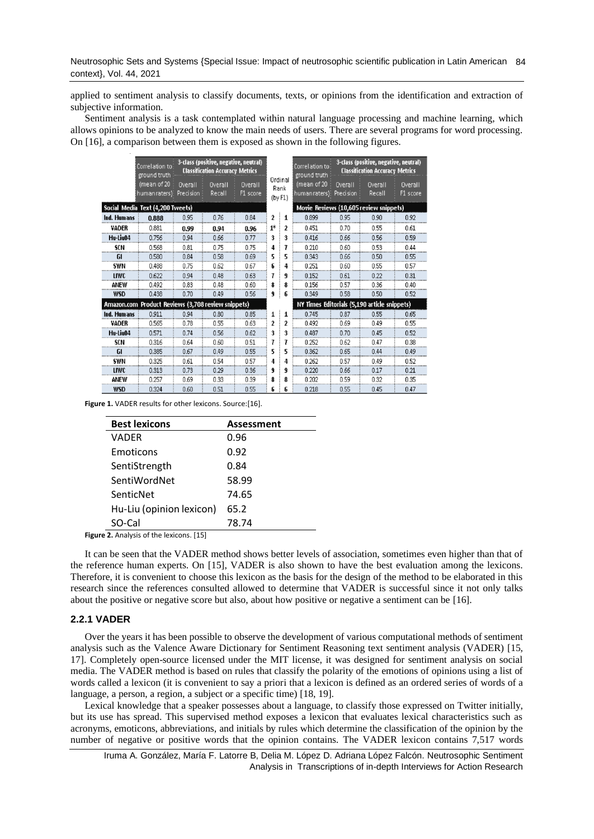applied to sentiment analysis to classify documents, texts, or opinions from the identification and extraction of subjective information.

Sentiment analysis is a task contemplated within natural language processing and machine learning, which allows opinions to be analyzed to know the main needs of users. There are several programs for word processing. On [\[16\]](#page-6-8), a comparison between them is exposed as shown in the following figures.

|                                                    | Correlation to<br>ground truth |                             | 3-class (positive, negative, neutral)<br><b>Classification Accuracy Metrics</b> |                                              |                                        | Correlation to<br>ground truth |                      | 3-class (positive, negative, neutral)<br><b>Classification Accuracy Metrics</b> |                     |  |
|----------------------------------------------------|--------------------------------|-----------------------------|---------------------------------------------------------------------------------|----------------------------------------------|----------------------------------------|--------------------------------|----------------------|---------------------------------------------------------------------------------|---------------------|--|
|                                                    | (mean of 20<br>humanraters):   | Overall<br><b>Precision</b> | Overall<br>Recall                                                               | Overall<br>F1 score                          | Ordinal<br>Rank<br>(by F1)             | (mean of 20<br>human raters)   | Overall<br>Precision | Overall<br>Recall                                                               | Overall<br>F1 score |  |
| Social Media Text (4,200 Tweets)                   |                                |                             |                                                                                 |                                              | Movie Reviews (10,605 review snippets) |                                |                      |                                                                                 |                     |  |
| Ind. Humans                                        | 0.888                          | 0.95                        | 0.76                                                                            | 0.84                                         | 2<br>1                                 | 0.899                          | 0.95                 | 0.90                                                                            | 0.92                |  |
| VADER                                              | 0.881                          | 0.99                        | 0.94                                                                            | 0.96                                         | $1*$<br>$\mathbf{p}$                   | 0.451                          | 0.70                 | 0.55                                                                            | 0.61                |  |
| Hu-Liu04                                           | 0.756                          | 0.94                        | 0.66                                                                            | 0.77                                         | 3<br>3                                 | 0.416                          | 0.66                 | 0.56                                                                            | 0.59                |  |
| SCN                                                | 0.568                          | 0.81                        | 0.75                                                                            | 0.75                                         | 7<br>4                                 | 0.210                          | 0.60                 | 0.53                                                                            | 0.44                |  |
| GI                                                 | 0.580                          | 0.84                        | 0.58                                                                            | 0.69                                         | 5<br>5                                 | 0.343                          | 0.66                 | 0.50                                                                            | 0.55                |  |
| SWN                                                | 0.488                          | 0.75                        | 0.62                                                                            | 0.67                                         | 4<br>£                                 | 0.251                          | 0.60                 | 0.55                                                                            | 0.57                |  |
| <b>LIWC</b>                                        | 0.622                          | 0.94                        | 0.48                                                                            | 0.63                                         | 9                                      | 0.152                          | 0.61                 | 0.22                                                                            | 0.31                |  |
| ANEW                                               | 0.492                          | 0.83                        | 0.48                                                                            | 0.60                                         | 8                                      | 0.156                          | 0.57                 | 0.36                                                                            | 0.40                |  |
| <b>WSD</b>                                         | 0.438                          | 0.70                        | 0.49                                                                            | 0.56                                         | 6                                      | 0.349                          | 0.58                 | 0.50                                                                            | 0.52                |  |
| Amazon.com Product Reviews (3,708 review snippets) |                                |                             |                                                                                 | NY Times Editorials (5,190 article snippets) |                                        |                                |                      |                                                                                 |                     |  |
| Ind. Humans                                        | 0.911                          | 0.94                        | 0.80                                                                            | 0.85                                         | 1<br>1                                 | 0.745                          | 0.87                 | 0.55                                                                            | 0.65                |  |
| VADER                                              | 0.565                          | 0.78                        | 0.55                                                                            | 0.63                                         | $\overline{\mathbf{z}}$<br>2           | 0.492                          | 0.69                 | 0.49                                                                            | 0.55                |  |
| Hu-Liu04                                           | 0.571                          | 0.74                        | 0.56                                                                            | 0.62                                         | 3<br>3                                 | 0.487                          | 0.70                 | 0.45                                                                            | 0.52                |  |
| SCN                                                | 0.316                          | 0.64                        | 0.60                                                                            | 0.51                                         | 7                                      | 0.252                          | 0.62                 | 0.47                                                                            | 0.38                |  |
| GI                                                 | 0.385                          | 0.67                        | 0.49                                                                            | 0.55                                         | 5<br>5                                 | 0.362                          | 0.65                 | 0.44                                                                            | 0.49                |  |
| SWN                                                | 0.325                          | 0.61                        | 0.54                                                                            | 0.57                                         | 4<br>4                                 | 0.262                          | 0.57                 | 0.49                                                                            | 0.52                |  |
| LIWC                                               | 0.313                          | 0.73                        | 0.29                                                                            | 0.36                                         | 9<br>9                                 | 0.220                          | 0.66                 | 0.17                                                                            | 0.21                |  |
| ANEW                                               | 0.257                          | 0.69                        | 0.33                                                                            | 0.39                                         | 8<br>8                                 | 0.202                          | 0.59                 | 0.32                                                                            | 0.35                |  |
| <b>WSD</b>                                         | 0.324                          | 0.60                        | 0.51                                                                            | 0.55                                         | 6<br>6                                 | 0.218                          | 0.55                 | 0.45                                                                            | 0.47                |  |

**Figure 1.** VADER results for other lexicons. Source:[\[16\]](#page-6-8).

| <b>Best lexicons</b>            | <b>Assessment</b> |  |  |  |
|---------------------------------|-------------------|--|--|--|
| VADER                           | 0.96              |  |  |  |
| Emoticons                       | 0.92              |  |  |  |
| SentiStrength                   | 0.84              |  |  |  |
| SentiWordNet                    | 58.99             |  |  |  |
| SenticNet                       | 74.65             |  |  |  |
| Hu-Liu (opinion lexicon)        | 65.2              |  |  |  |
| SO-Cal                          | 78.74             |  |  |  |
| 3. Anglicia afabettuizana, f4F1 |                   |  |  |  |

**Figure 2.** Analysis of the lexicons. [\[15\]](#page-6-7)

It can be seen that the VADER method shows better levels of association, sometimes even higher than that of the reference human experts. On [\[15\]](#page-6-7), VADER is also shown to have the best evaluation among the lexicons. Therefore, it is convenient to choose this lexicon as the basis for the design of the method to be elaborated in this research since the references consulted allowed to determine that VADER is successful since it not only talks about the positive or negative score but also, about how positive or negative a sentiment can be [\[16\]](#page-6-8).

#### **2.2.1 VADER**

Over the years it has been possible to observe the development of various computational methods of sentiment analysis such as the Valence Aware Dictionary for Sentiment Reasoning text sentiment analysis (VADER) [\[15,](#page-6-7) [17\]](#page-6-9). Completely open-source licensed under the MIT license, it was designed for sentiment analysis on social media. The VADER method is based on rules that classify the polarity of the emotions of opinions using a list of words called a lexicon (it is convenient to say a priori that a lexicon is defined as an ordered series of words of a language, a person, a region, a subject or a specific time) [\[18,](#page-6-10) [19\]](#page-6-11).

Lexical knowledge that a speaker possesses about a language, to classify those expressed on Twitter initially, but its use has spread. This supervised method exposes a lexicon that evaluates lexical characteristics such as acronyms, emoticons, abbreviations, and initials by rules which determine the classification of the opinion by the number of negative or positive words that the opinion contains. The VADER lexicon contains 7,517 words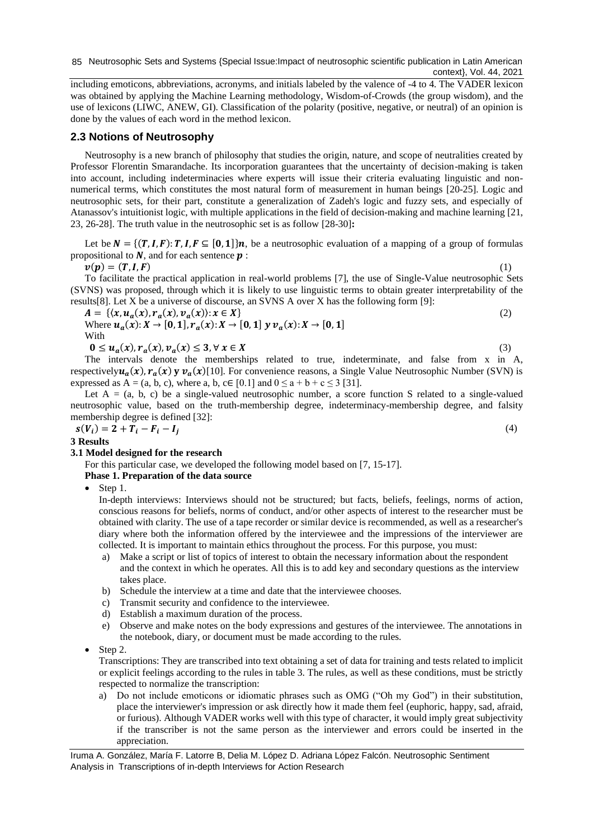including emoticons, abbreviations, acronyms, and initials labeled by the valence of -4 to 4. The VADER lexicon was obtained by applying the Machine Learning methodology, Wisdom-of-Crowds (the group wisdom), and the use of lexicons (LIWC, ANEW, GI). Classification of the polarity (positive, negative, or neutral) of an opinion is done by the values of each word in the method lexicon.

#### **2.3 Notions of Neutrosophy**

Neutrosophy is a new branch of philosophy that studies the origin, nature, and scope of neutralities created by Professor Florentin Smarandache. Its incorporation guarantees that the uncertainty of decision-making is taken into account, including indeterminacies where experts will issue their criteria evaluating linguistic and nonnumerical terms, which constitutes the most natural form of measurement in human beings [\[20-25\]](#page-6-12). Logic and neutrosophic sets, for their part, constitute a generalization of Zadeh's logic and fuzzy sets, and especially of Atanassov's intuitionist logic, with multiple applications in the field of decision-making and machine learning [\[21,](#page-6-13) [23,](#page-7-0) [26-28\]](#page-7-1). The truth value in the neutrosophic set is as follow [\[28-30\]](#page-7-2)**:**

Let be  $N = \{(T, I, F): T, I, F \subseteq [0, 1]\}$ n, be a neutrosophic evaluation of a mapping of a group of formulas propositional to  $N$ , and for each sentence  $p$ :

 $v(p) = (T, I, F)$  (1)

To facilitate the practical application in real-world problems [7], the use of Single-Value neutrosophic Sets (SVNS) was proposed, through which it is likely to use linguistic terms to obtain greater interpretability of the results[8]. Let X be a universe of discourse, an SVNS A over X has the following form [9]:

 $A = \{ (x, u_a(x), r_a(x), v_a(x)) : x \in X \}$  (2) Where  $u_a(x): X \to [0, 1], r_a(x): X \to [0, 1]$   $y v_a(x): X \to [0, 1]$ With

 $0 \le u_a(x), r_a(x), v_a(x) \le 3, \forall x \in X$  (3) The intervals denote the memberships related to true, indeterminate, and false from x in A, respectively  $u_a(x)$ ,  $r_a(x)$  y  $v_a(x)$  [10]. For convenience reasons, a Single Value Neutrosophic Number (SVN) is expressed as  $A = (a, b, c)$ , where a, b,  $c \in [0.1]$  and  $0 \le a + b + c \le 3$  [\[31\]](#page-7-3).

Let  $A = (a, b, c)$  be a single-valued neutrosophic number, a score function S related to a single-valued neutrosophic value, based on the truth-membership degree, indeterminacy-membership degree, and falsity membership degree is defined [\[32\]](#page-7-4):

 $s(V_i) = 2 + T_i - F_i - I_j$ 

**3 Results**

#### **3.1 Model designed for the research**

For this particular case, we developed the following model based on [\[7,](#page-6-6) [15-17\]](#page-6-7).

#### **Phase 1. Preparation of the data source**

• Step 1.

In-depth interviews: Interviews should not be structured; but facts, beliefs, feelings, norms of action, conscious reasons for beliefs, norms of conduct, and/or other aspects of interest to the researcher must be obtained with clarity. The use of a tape recorder or similar device is recommended, as well as a researcher's diary where both the information offered by the interviewee and the impressions of the interviewer are collected. It is important to maintain ethics throughout the process. For this purpose, you must:

- a) Make a script or list of topics of interest to obtain the necessary information about the respondent and the context in which he operates. All this is to add key and secondary questions as the interview takes place.
- b) Schedule the interview at a time and date that the interviewee chooses.
- c) Transmit security and confidence to the interviewee.
- d) Establish a maximum duration of the process.
- Observe and make notes on the body expressions and gestures of the interviewee. The annotations in the notebook, diary, or document must be made according to the rules.
- Step 2.

Transcriptions: They are transcribed into text obtaining a set of data for training and tests related to implicit or explicit feelings according to the rules in table 3. The rules, as well as these conditions, must be strictly respected to normalize the transcription:

a) Do not include emoticons or idiomatic phrases such as OMG ("Oh my God") in their substitution, place the interviewer's impression or ask directly how it made them feel (euphoric, happy, sad, afraid, or furious). Although VADER works well with this type of character, it would imply great subjectivity if the transcriber is not the same person as the interviewer and errors could be inserted in the appreciation.

(4)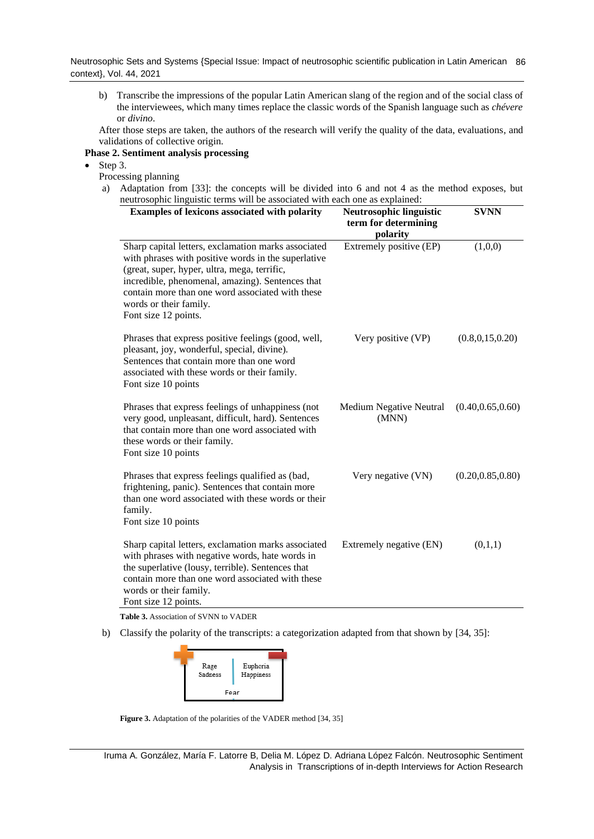b) Transcribe the impressions of the popular Latin American slang of the region and of the social class of the interviewees, which many times replace the classic words of the Spanish language such as *chévere* or *divino*.

After those steps are taken, the authors of the research will verify the quality of the data, evaluations, and validations of collective origin.

#### **Phase 2. Sentiment analysis processing**

- Step 3.
	- Processing planning
	- a) Adaptation from [\[33\]](#page-7-5): the concepts will be divided into 6 and not 4 as the method exposes, but neutrosophic linguistic terms will be associated with each one as explained:

| Examples of lexicons associated with polarity                                                                                                                                                                                                                                                                        | <b>Neutrosophic linguistic</b><br>term for determining<br>polarity | <b>SVNN</b>        |
|----------------------------------------------------------------------------------------------------------------------------------------------------------------------------------------------------------------------------------------------------------------------------------------------------------------------|--------------------------------------------------------------------|--------------------|
| Sharp capital letters, exclamation marks associated<br>with phrases with positive words in the superlative<br>(great, super, hyper, ultra, mega, terrific,<br>incredible, phenomenal, amazing). Sentences that<br>contain more than one word associated with these<br>words or their family.<br>Font size 12 points. | Extremely positive (EP)                                            | (1,0,0)            |
| Phrases that express positive feelings (good, well,<br>pleasant, joy, wonderful, special, divine).<br>Sentences that contain more than one word<br>associated with these words or their family.<br>Font size 10 points                                                                                               | Very positive (VP)                                                 | (0.8, 0.15, 0.20)  |
| Phrases that express feelings of unhappiness (not<br>very good, unpleasant, difficult, hard). Sentences<br>that contain more than one word associated with<br>these words or their family.<br>Font size 10 points                                                                                                    | <b>Medium Negative Neutral</b><br>(MNN)                            | (0.40, 0.65, 0.60) |
| Phrases that express feelings qualified as (bad,<br>frightening, panic). Sentences that contain more<br>than one word associated with these words or their<br>family.<br>Font size 10 points                                                                                                                         | Very negative (VN)                                                 | (0.20, 0.85, 0.80) |
| Sharp capital letters, exclamation marks associated<br>with phrases with negative words, hate words in<br>the superlative (lousy, terrible). Sentences that<br>contain more than one word associated with these<br>words or their family.<br>Font size 12 points.                                                    | Extremely negative (EN)                                            | (0,1,1)            |

**Table 3.** Association of SVNN to VADER

b) Classify the polarity of the transcripts: a categorization adapted from that shown by [\[34,](#page-7-6) [35\]](#page-7-7):



**Figure 3.** Adaptation of the polarities of the VADER method [\[34,](#page-7-6) [35\]](#page-7-7)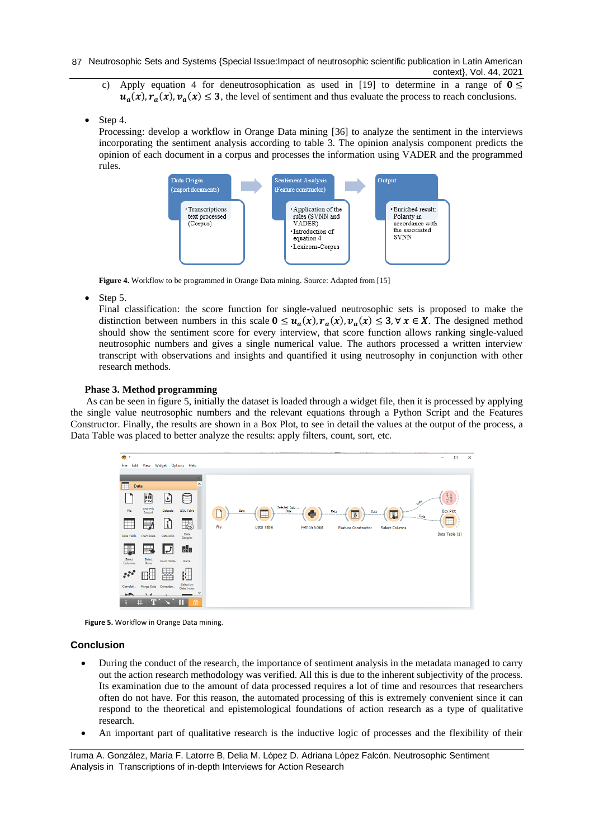- c) Apply equation 4 for deneutrosophication as used in [19] to determine in a range of  $0 \leq$  $u_a(x)$ ,  $r_a(x)$ ,  $v_a(x) \le 3$ , the level of sentiment and thus evaluate the process to reach conclusions.
- Step 4.

Processing: develop a workflow in Orange Data mining [\[36\]](#page-7-8) to analyze the sentiment in the interviews incorporating the sentiment analysis according to table 3. The opinion analysis component predicts the opinion of each document in a corpus and processes the information using VADER and the programmed rules.



**Figure 4.** Workflow to be programmed in Orange Data mining. Source: Adapted from [\[15\]](#page-6-7)

• Step 5.

Final classification: the score function for single-valued neutrosophic sets is proposed to make the distinction between numbers in this scale  $0 \le u_a(x)$ ,  $r_a(x)$ ,  $v_a(x) \le 3$ ,  $\forall x \in X$ . The designed method should show the sentiment score for every interview, that score function allows ranking single-valued neutrosophic numbers and gives a single numerical value. The authors processed a written interview transcript with observations and insights and quantified it using neutrosophy in conjunction with other research methods.

#### **Phase 3. Method programming**

As can be seen in figure 5, initially the dataset is loaded through a widget file, then it is processed by applying the single value neutrosophic numbers and the relevant equations through a Python Script and the Features Constructor. Finally, the results are shown in a Box Plot, to see in detail the values at the output of the process, a Data Table was placed to better analyze the results: apply filters, count, sort, etc.



**Figure 5.** Workflow in Orange Data mining.

#### **Conclusion**

- During the conduct of the research, the importance of sentiment analysis in the metadata managed to carry out the action research methodology was verified. All this is due to the inherent subjectivity of the process. Its examination due to the amount of data processed requires a lot of time and resources that researchers often do not have. For this reason, the automated processing of this is extremely convenient since it can respond to the theoretical and epistemological foundations of action research as a type of qualitative research.
- An important part of qualitative research is the inductive logic of processes and the flexibility of their

Iruma A. González, María F. Latorre B, Delia M. López D. Adriana López Falcón. Neutrosophic Sentiment Analysis in Transcriptions of in-depth Interviews for Action Research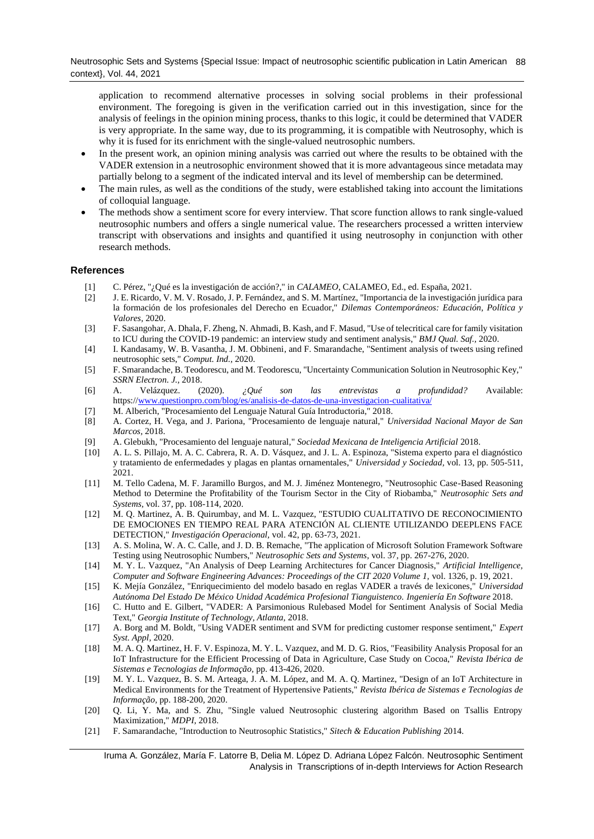application to recommend alternative processes in solving social problems in their professional environment. The foregoing is given in the verification carried out in this investigation, since for the analysis of feelings in the opinion mining process, thanks to this logic, it could be determined that VADER is very appropriate. In the same way, due to its programming, it is compatible with Neutrosophy, which is why it is fused for its enrichment with the single-valued neutrosophic numbers.

- In the present work, an opinion mining analysis was carried out where the results to be obtained with the VADER extension in a neutrosophic environment showed that it is more advantageous since metadata may partially belong to a segment of the indicated interval and its level of membership can be determined.
- The main rules, as well as the conditions of the study, were established taking into account the limitations of colloquial language.
- The methods show a sentiment score for every interview. That score function allows to rank single-valued neutrosophic numbers and offers a single numerical value. The researchers processed a written interview transcript with observations and insights and quantified it using neutrosophy in conjunction with other research methods.

#### **References**

- <span id="page-6-0"></span>[1] C. Pérez, "¿Qué es la investigación de acción?," in *CALAMEO*, CALAMEO, Ed., ed. España, 2021.
- <span id="page-6-1"></span>[2] J. E. Ricardo, V. M. V. Rosado, J. P. Fernández, and S. M. Martínez, "Importancia de la investigación jurídica para la formación de los profesionales del Derecho en Ecuador," *Dilemas Contemporáneos: Educación, Política y Valores,* 2020.
- <span id="page-6-2"></span>[3] F. Sasangohar, A. Dhala, F. Zheng, N. Ahmadi, B. Kash, and F. Masud, "Use of telecritical care for family visitation to ICU during the COVID-19 pandemic: an interview study and sentiment analysis," *BMJ Qual. Saf.,* 2020.
- <span id="page-6-4"></span>[4] I. Kandasamy, W. B. Vasantha, J. M. Obbineni, and F. Smarandache, "Sentiment analysis of tweets using refined neutrosophic sets," *Comput. Ind.,* 2020.
- <span id="page-6-5"></span>[5] F. Smarandache, B. Teodorescu, and M. Teodorescu, "Uncertainty Communication Solution in Neutrosophic Key," *SSRN Electron. J.,* 2018.
- <span id="page-6-3"></span>[6] A. Velázquez. (2020). *¿Qué son las entrevistas a profundidad?* Available: https:[//www.questionpro.com/blog/es/analisis-de-datos-de-una-investigacion-cualitativa/](http://www.questionpro.com/blog/es/analisis-de-datos-de-una-investigacion-cualitativa/)
- <span id="page-6-6"></span>[7] M. Alberich, "Procesamiento del Lenguaje Natural Guía Introductoria," 2018.
- [8] A. Cortez, H. Vega, and J. Pariona, "Procesamiento de lenguaje natural," *Universidad Nacional Mayor de San Marcos,* 2018.
- [9] A. Glebukh, "Procesamiento del lenguaje natural," *Sociedad Mexicana de Inteligencia Artificial* 2018.
- [10] A. L. S. Pillajo, M. A. C. Cabrera, R. A. D. Vásquez, and J. L. A. Espinoza, "Sistema experto para el diagnóstico y tratamiento de enfermedades y plagas en plantas ornamentales," *Universidad y Sociedad,* vol. 13, pp. 505-511, 2021.
- [11] M. Tello Cadena, M. F. Jaramillo Burgos, and M. J. Jiménez Montenegro, "Neutrosophic Case-Based Reasoning Method to Determine the Profitability of the Tourism Sector in the City of Riobamba," *Neutrosophic Sets and Systems,* vol. 37, pp. 108-114, 2020.
- [12] M. Q. Martinez, A. B. Quirumbay, and M. L. Vazquez, "ESTUDIO CUALITATIVO DE RECONOCIMIENTO DE EMOCIONES EN TIEMPO REAL PARA ATENCIÓN AL CLIENTE UTILIZANDO DEEPLENS FACE DETECTION," *Investigación Operacional,* vol. 42, pp. 63-73, 2021.
- [13] A. S. Molina, W. A. C. Calle, and J. D. B. Remache, "The application of Microsoft Solution Framework Software Testing using Neutrosophic Numbers," *Neutrosophic Sets and Systems,* vol. 37, pp. 267-276, 2020.
- [14] M. Y. L. Vazquez, "An Analysis of Deep Learning Architectures for Cancer Diagnosis," *Artificial Intelligence, Computer and Software Engineering Advances: Proceedings of the CIT 2020 Volume 1,* vol. 1326, p. 19, 2021.
- <span id="page-6-7"></span>[15] K. Mejía González, "Enriquecimiento del modelo basado en reglas VADER a través de lexicones," *Universidad Autónoma Del Estado De México Unidad Académica Profesional Tianguistenco. Ingeniería En Software* 2018.
- <span id="page-6-8"></span>[16] C. Hutto and E. Gilbert, "VADER: A Parsimonious Rulebased Model for Sentiment Analysis of Social Media Text," *Georgia Institute of Technology, Atlanta,* 2018.
- <span id="page-6-9"></span>[17] A. Borg and M. Boldt, "Using VADER sentiment and SVM for predicting customer response sentiment," *Expert Syst. Appl,* 2020.
- <span id="page-6-10"></span>[18] M. A. Q. Martinez, H. F. V. Espinoza, M. Y. L. Vazquez, and M. D. G. Rios, "Feasibility Analysis Proposal for an IoT Infrastructure for the Efficient Processing of Data in Agriculture, Case Study on Cocoa," *Revista Ibérica de Sistemas e Tecnologias de Informação,* pp. 413-426, 2020.
- <span id="page-6-11"></span>[19] M. Y. L. Vazquez, B. S. M. Arteaga, J. A. M. López, and M. A. Q. Martinez, "Design of an IoT Architecture in Medical Environments for the Treatment of Hypertensive Patients," *Revista Ibérica de Sistemas e Tecnologias de Informação,* pp. 188-200, 2020.
- <span id="page-6-12"></span>[20] Q. Li, Y. Ma, and S. Zhu, "Single valued Neutrosophic clustering algorithm Based on Tsallis Entropy Maximization," *MDPI,* 2018.
- <span id="page-6-13"></span>[21] F. Samarandache, "Introduction to Neutrosophic Statistics," *Sitech & Education Publishing* 2014.

Iruma A. González, María F. Latorre B, Delia M. López D. Adriana López Falcón. Neutrosophic Sentiment Analysis in Transcriptions of in-depth Interviews for Action Research